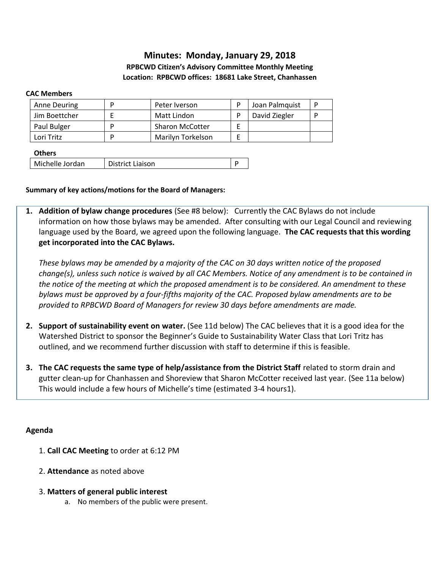# **Minutes: Monday, January 29, 2018**

## **RPBCWD Citizen's Advisory Committee Monthly Meeting Location: RPBCWD offices: 18681 Lake Street, Chanhassen**

### **CAC Members**

| Anne Deuring  |   | Peter Iverson          | Joan Palmquist |  |
|---------------|---|------------------------|----------------|--|
| Jim Boettcher |   | Matt Lindon            | David Ziegler  |  |
| Paul Bulger   | ח | <b>Sharon McCotter</b> |                |  |
| Lori Tritz    | D | Marilyn Torkelson      |                |  |

### **Others**

| Michelle Jordan<br>District Liaison |  |
|-------------------------------------|--|
|-------------------------------------|--|

### **Summary of key actions/motions for the Board of Managers:**

**1. Addition of bylaw change procedures** (See #8 below): Currently the CAC Bylaws do not include information on how those bylaws may be amended. After consulting with our Legal Council and reviewing language used by the Board, we agreed upon the following language. **The CAC requests that this wording get incorporated into the CAC Bylaws.** 

*These bylaws may be amended by a majority of the CAC on 30 days written notice of the proposed change(s), unless such notice is waived by all CAC Members. Notice of any amendment is to be contained in the notice of the meeting at which the proposed amendment is to be considered. An amendment to these bylaws must be approved by a four-fifths majority of the CAC. Proposed bylaw amendments are to be provided to RPBCWD Board of Managers for review 30 days before amendments are made.* 

- **2. Support of sustainability event on water.** (See 11d below) The CAC believes that it is a good idea for the Watershed District to sponsor the Beginner's Guide to Sustainability Water Class that Lori Tritz has outlined, and we recommend further discussion with staff to determine if this is feasible.
- **3. The CAC requests the same type of help/assistance from the District Staff** related to storm drain and gutter clean-up for Chanhassen and Shoreview that Sharon McCotter received last year. (See 11a below) This would include a few hours of Michelle's time (estimated 3-4 hours1).

### **Agenda**

- 1. **Call CAC Meeting** to order at 6:12 PM
- 2. **Attendance** as noted above
- 3. **Matters of general public interest**
	- a. No members of the public were present.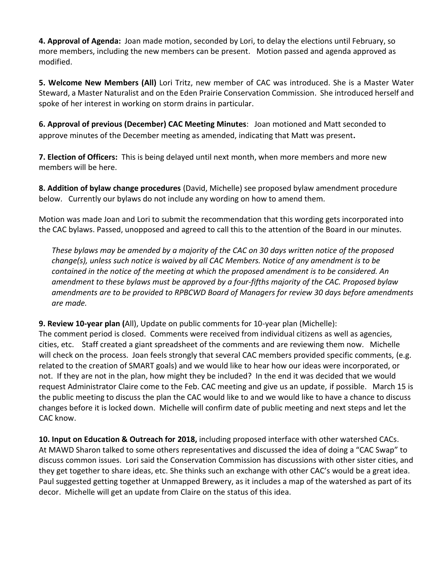**4. Approval of Agenda:** Joan made motion, seconded by Lori, to delay the elections until February, so more members, including the new members can be present. Motion passed and agenda approved as modified.

**5. Welcome New Members (All)** Lori Tritz, new member of CAC was introduced. She is a Master Water Steward, a Master Naturalist and on the Eden Prairie Conservation Commission. She introduced herself and spoke of her interest in working on storm drains in particular.

**6. Approval of previous (December) CAC Meeting Minutes**: Joan motioned and Matt seconded to approve minutes of the December meeting as amended, indicating that Matt was present**.** 

**7. Election of Officers:** This is being delayed until next month, when more members and more new members will be here.

**8. Addition of bylaw change procedures** (David, Michelle) see proposed bylaw amendment procedure below. Currently our bylaws do not include any wording on how to amend them.

Motion was made Joan and Lori to submit the recommendation that this wording gets incorporated into the CAC bylaws. Passed, unopposed and agreed to call this to the attention of the Board in our minutes.

*These bylaws may be amended by a majority of the CAC on 30 days written notice of the proposed change(s), unless such notice is waived by all CAC Members. Notice of any amendment is to be contained in the notice of the meeting at which the proposed amendment is to be considered. An amendment to these bylaws must be approved by a four-fifths majority of the CAC. Proposed bylaw amendments are to be provided to RPBCWD Board of Managers for review 30 days before amendments are made.* 

**9. Review 10-year plan (**All), Update on public comments for 10-year plan (Michelle):

The comment period is closed. Comments were received from individual citizens as well as agencies, cities, etc. Staff created a giant spreadsheet of the comments and are reviewing them now. Michelle will check on the process. Joan feels strongly that several CAC members provided specific comments, (e.g. related to the creation of SMART goals) and we would like to hear how our ideas were incorporated, or not. If they are not in the plan, how might they be included? In the end it was decided that we would request Administrator Claire come to the Feb. CAC meeting and give us an update, if possible. March 15 is the public meeting to discuss the plan the CAC would like to and we would like to have a chance to discuss changes before it is locked down. Michelle will confirm date of public meeting and next steps and let the CAC know.

**10. Input on Education & Outreach for 2018,** including proposed interface with other watershed CACs. At MAWD Sharon talked to some others representatives and discussed the idea of doing a "CAC Swap" to discuss common issues. Lori said the Conservation Commission has discussions with other sister cities, and they get together to share ideas, etc. She thinks such an exchange with other CAC's would be a great idea. Paul suggested getting together at Unmapped Brewery, as it includes a map of the watershed as part of its decor. Michelle will get an update from Claire on the status of this idea.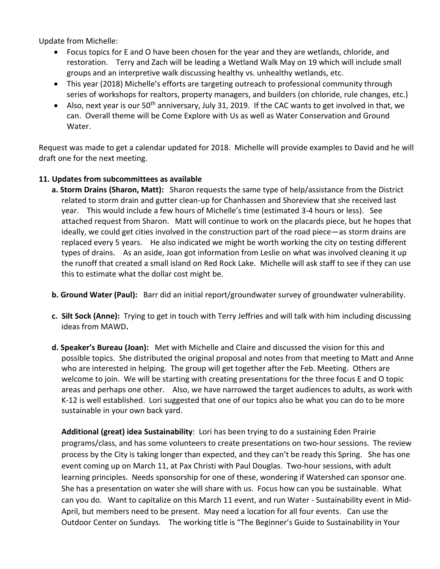Update from Michelle:

- Focus topics for E and O have been chosen for the year and they are wetlands, chloride, and restoration. Terry and Zach will be leading a Wetland Walk May on 19 which will include small groups and an interpretive walk discussing healthy vs. unhealthy wetlands, etc.
- This year (2018) Michelle's efforts are targeting outreach to professional community through series of workshops for realtors, property managers, and builders (on chloride, rule changes, etc.)
- Also, next year is our  $50<sup>th</sup>$  anniversary, July 31, 2019. If the CAC wants to get involved in that, we can. Overall theme will be Come Explore with Us as well as Water Conservation and Ground Water.

Request was made to get a calendar updated for 2018. Michelle will provide examples to David and he will draft one for the next meeting.

## **11. Updates from subcommittees as available**

- **a. Storm Drains (Sharon, Matt):** Sharon requests the same type of help/assistance from the District related to storm drain and gutter clean-up for Chanhassen and Shoreview that she received last year. This would include a few hours of Michelle's time (estimated 3-4 hours or less). See attached request from Sharon. Matt will continue to work on the placards piece, but he hopes that ideally, we could get cities involved in the construction part of the road piece—as storm drains are replaced every 5 years. He also indicated we might be worth working the city on testing different types of drains. As an aside, Joan got information from Leslie on what was involved cleaning it up the runoff that created a small island on Red Rock Lake. Michelle will ask staff to see if they can use this to estimate what the dollar cost might be.
- **b. Ground Water (Paul):** Barr did an initial report/groundwater survey of groundwater vulnerability.
- **c. Silt Sock (Anne):** Trying to get in touch with Terry Jeffries and will talk with him including discussing ideas from MAWD**.**
- **d. Speaker's Bureau (Joan):** Met with Michelle and Claire and discussed the vision for this and possible topics. She distributed the original proposal and notes from that meeting to Matt and Anne who are interested in helping. The group will get together after the Feb. Meeting. Others are welcome to join. We will be starting with creating presentations for the three focus E and O topic areas and perhaps one other. Also, we have narrowed the target audiences to adults, as work with K-12 is well established. Lori suggested that one of our topics also be what you can do to be more sustainable in your own back yard.

**Additional (great) idea Sustainability**: Lori has been trying to do a sustaining Eden Prairie programs/class, and has some volunteers to create presentations on two-hour sessions. The review process by the City is taking longer than expected, and they can't be ready this Spring. She has one event coming up on March 11, at Pax Christi with Paul Douglas. Two-hour sessions, with adult learning principles. Needs sponsorship for one of these, wondering if Watershed can sponsor one. She has a presentation on water she will share with us. Focus how can you be sustainable. What can you do. Want to capitalize on this March 11 event, and run Water - Sustainability event in Mid-April, but members need to be present. May need a location for all four events. Can use the Outdoor Center on Sundays. The working title is "The Beginner's Guide to Sustainability in Your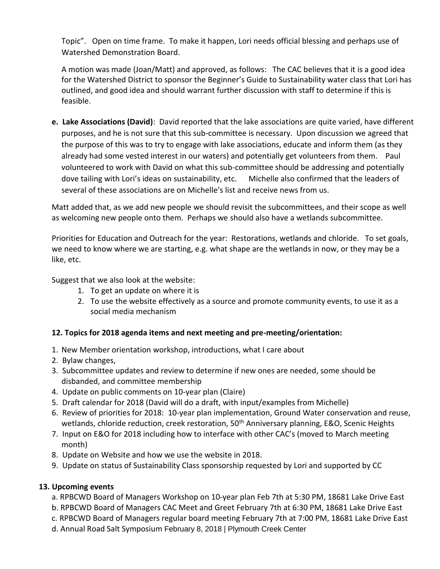Topic". Open on time frame. To make it happen, Lori needs official blessing and perhaps use of Watershed Demonstration Board.

A motion was made (Joan/Matt) and approved, as follows: The CAC believes that it is a good idea for the Watershed District to sponsor the Beginner's Guide to Sustainability water class that Lori has outlined, and good idea and should warrant further discussion with staff to determine if this is feasible.

**e. Lake Associations (David)**: David reported that the lake associations are quite varied, have different purposes, and he is not sure that this sub-committee is necessary. Upon discussion we agreed that the purpose of this was to try to engage with lake associations, educate and inform them (as they already had some vested interest in our waters) and potentially get volunteers from them. Paul volunteered to work with David on what this sub-committee should be addressing and potentially dove tailing with Lori's ideas on sustainability, etc. Michelle also confirmed that the leaders of several of these associations are on Michelle's list and receive news from us.

Matt added that, as we add new people we should revisit the subcommittees, and their scope as well as welcoming new people onto them. Perhaps we should also have a wetlands subcommittee.

Priorities for Education and Outreach for the year: Restorations, wetlands and chloride. To set goals, we need to know where we are starting, e.g. what shape are the wetlands in now, or they may be a like, etc.

Suggest that we also look at the website:

- 1. To get an update on where it is
- 2. To use the website effectively as a source and promote community events, to use it as a social media mechanism

## **12. Topics for 2018 agenda items and next meeting and pre-meeting/orientation:**

- 1. New Member orientation workshop, introductions, what I care about
- 2. Bylaw changes,
- 3. Subcommittee updates and review to determine if new ones are needed, some should be disbanded, and committee membership
- 4. Update on public comments on 10-year plan (Claire)
- 5. Draft calendar for 2018 (David will do a draft, with input/examples from Michelle)
- 6. Review of priorities for 2018: 10-year plan implementation, Ground Water conservation and reuse, wetlands, chloride reduction, creek restoration, 50<sup>th</sup> Anniversary planning, E&O, Scenic Heights
- 7. Input on E&O for 2018 including how to interface with other CAC's (moved to March meeting month)
- 8. Update on Website and how we use the website in 2018.
- 9. Update on status of Sustainability Class sponsorship requested by Lori and supported by CC

## **13. Upcoming events**

- a. RPBCWD Board of Managers Workshop on 10-year plan Feb 7th at 5:30 PM, 18681 Lake Drive East
- b. RPBCWD Board of Managers CAC Meet and Greet February 7th at 6:30 PM, 18681 Lake Drive East
- c. RPBCWD Board of Managers regular board meeting February 7th at 7:00 PM, 18681 Lake Drive East
- d. Annual Road Salt Symposium February 8, 2018 | Plymouth Creek Center